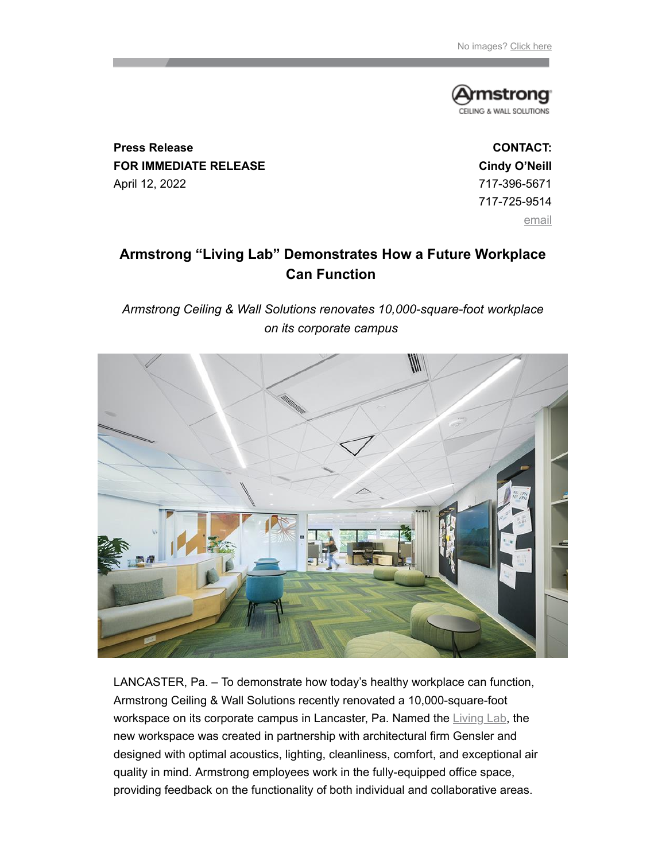

**Press Release FOR IMMEDIATE RELEASE** April 12, 2022

**CONTACT: Cindy O'Neill** 717-396-5671 717-725-9514 [email](mailto:coneill@armstrongceilings.com)

# **Armstrong "Living Lab" Demonstrates How a Future Workplace Can Function**

*Armstrong Ceiling & Wall Solutions renovates 10,000-square-foot workplace on its corporate campus*



LANCASTER, Pa. – To demonstrate how today's healthy workplace can function, Armstrong Ceiling & Wall Solutions recently renovated a 10,000-square-foot workspace on its corporate campus in Lancaster, Pa. Named the [Living Lab](https://enews.a-b-c.com/t/r-i-tyydklyk-l-j/), the new workspace was created in partnership with architectural firm Gensler and designed with optimal acoustics, lighting, cleanliness, comfort, and exceptional air quality in mind. Armstrong employees work in the fully-equipped office space, providing feedback on the functionality of both individual and collaborative areas.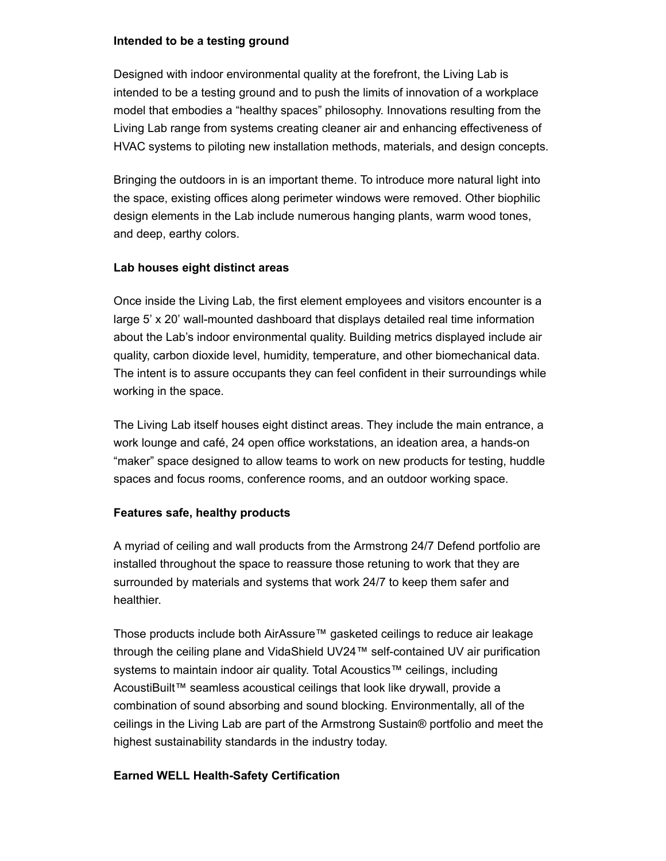#### **Intended to be a testing ground**

Designed with indoor environmental quality at the forefront, the Living Lab is intended to be a testing ground and to push the limits of innovation of a workplace model that embodies a "healthy spaces" philosophy. Innovations resulting from the Living Lab range from systems creating cleaner air and enhancing effectiveness of HVAC systems to piloting new installation methods, materials, and design concepts.

Bringing the outdoors in is an important theme. To introduce more natural light into the space, existing offices along perimeter windows were removed. Other biophilic design elements in the Lab include numerous hanging plants, warm wood tones, and deep, earthy colors.

## **Lab houses eight distinct areas**

Once inside the Living Lab, the first element employees and visitors encounter is a large 5' x 20' wall-mounted dashboard that displays detailed real time information about the Lab's indoor environmental quality. Building metrics displayed include air quality, carbon dioxide level, humidity, temperature, and other biomechanical data. The intent is to assure occupants they can feel confident in their surroundings while working in the space.

The Living Lab itself houses eight distinct areas. They include the main entrance, a work lounge and café, 24 open office workstations, an ideation area, a hands-on "maker" space designed to allow teams to work on new products for testing, huddle spaces and focus rooms, conference rooms, and an outdoor working space.

## **Features safe, healthy products**

A myriad of ceiling and wall products from the Armstrong 24/7 Defend portfolio are installed throughout the space to reassure those retuning to work that they are surrounded by materials and systems that work 24/7 to keep them safer and healthier.

Those products include both AirAssure™ gasketed ceilings to reduce air leakage through the ceiling plane and VidaShield UV24™ self-contained UV air purification systems to maintain indoor air quality. Total Acoustics™ ceilings, including AcoustiBuilt™ seamless acoustical ceilings that look like drywall, provide a combination of sound absorbing and sound blocking. Environmentally, all of the ceilings in the Living Lab are part of the Armstrong Sustain® portfolio and meet the highest sustainability standards in the industry today.

## **Earned WELL Health-Safety Certification**